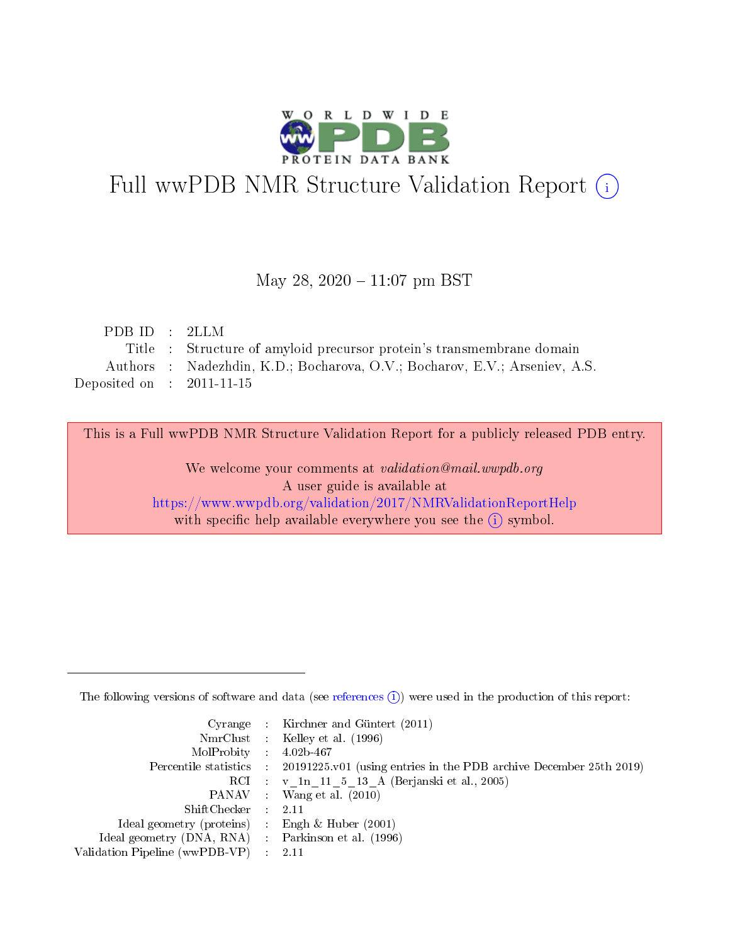

# Full wwPDB NMR Structure Validation Report (i)

### May 28,  $2020 - 11:07$  pm BST

| PDB ID : 2LLM               |                                                                            |
|-----------------------------|----------------------------------------------------------------------------|
|                             | Title : Structure of amyloid precursor protein's transmembrane domain      |
|                             | Authors : Nadezhdin, K.D.; Bocharova, O.V.; Bocharov, E.V.; Arseniev, A.S. |
| Deposited on : $2011-11-15$ |                                                                            |

This is a Full wwPDB NMR Structure Validation Report for a publicly released PDB entry. We welcome your comments at validation@mail.wwpdb.org

A user guide is available at <https://www.wwpdb.org/validation/2017/NMRValidationReportHelp> with specific help available everywhere you see the  $(i)$  symbol.

The following versions of software and data (see [references](https://www.wwpdb.org/validation/2017/NMRValidationReportHelp#references)  $(1)$ ) were used in the production of this report:

|                                                    | Cyrange : Kirchner and Güntert $(2011)$                                                    |
|----------------------------------------------------|--------------------------------------------------------------------------------------------|
|                                                    | NmrClust : Kelley et al. (1996)                                                            |
| $MolProbability$ 4.02b-467                         |                                                                                            |
|                                                    | Percentile statistics : 20191225.v01 (using entries in the PDB archive December 25th 2019) |
|                                                    | RCI : v 1n 11 5 13 A (Berjanski et al., 2005)                                              |
|                                                    | PANAV Wang et al. (2010)                                                                   |
| $ShiftChecker$ : 2.11                              |                                                                                            |
| Ideal geometry (proteins) : Engh $\&$ Huber (2001) |                                                                                            |
| Ideal geometry (DNA, RNA) Parkinson et al. (1996)  |                                                                                            |
| Validation Pipeline (wwPDB-VP)                     | 2.11                                                                                       |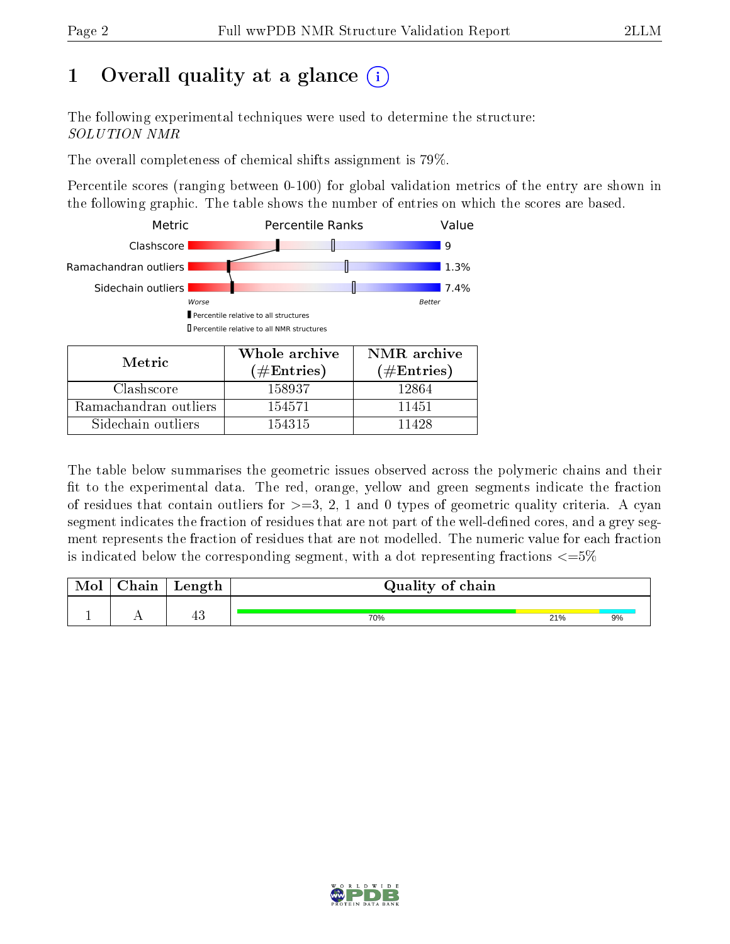# 1 [O](https://www.wwpdb.org/validation/2017/NMRValidationReportHelp#overall_quality)verall quality at a glance  $(i)$

The following experimental techniques were used to determine the structure: SOLUTION NMR

The overall completeness of chemical shifts assignment is 79%.

Percentile scores (ranging between 0-100) for global validation metrics of the entry are shown in the following graphic. The table shows the number of entries on which the scores are based.



| TATOLIC               | ( $\#\mathrm{Entries}$ ) | $(\#Entries)$ |
|-----------------------|--------------------------|---------------|
| Clashscore            | 158937                   | 12864         |
| Ramachandran outliers | 154571                   | 11451         |
| Sidechain outliers    | 154315                   | 11428         |

The table below summarises the geometric issues observed across the polymeric chains and their fit to the experimental data. The red, orange, yellow and green segments indicate the fraction of residues that contain outliers for  $>=3, 2, 1$  and 0 types of geometric quality criteria. A cyan segment indicates the fraction of residues that are not part of the well-defined cores, and a grey segment represents the fraction of residues that are not modelled. The numeric value for each fraction is indicated below the corresponding segment, with a dot representing fractions  $\epsilon = 5\%$ 

| $\gamma$ hain | Length | Quality of chain |     |    |
|---------------|--------|------------------|-----|----|
|               | 生し     | 70%              | 21% | 9% |

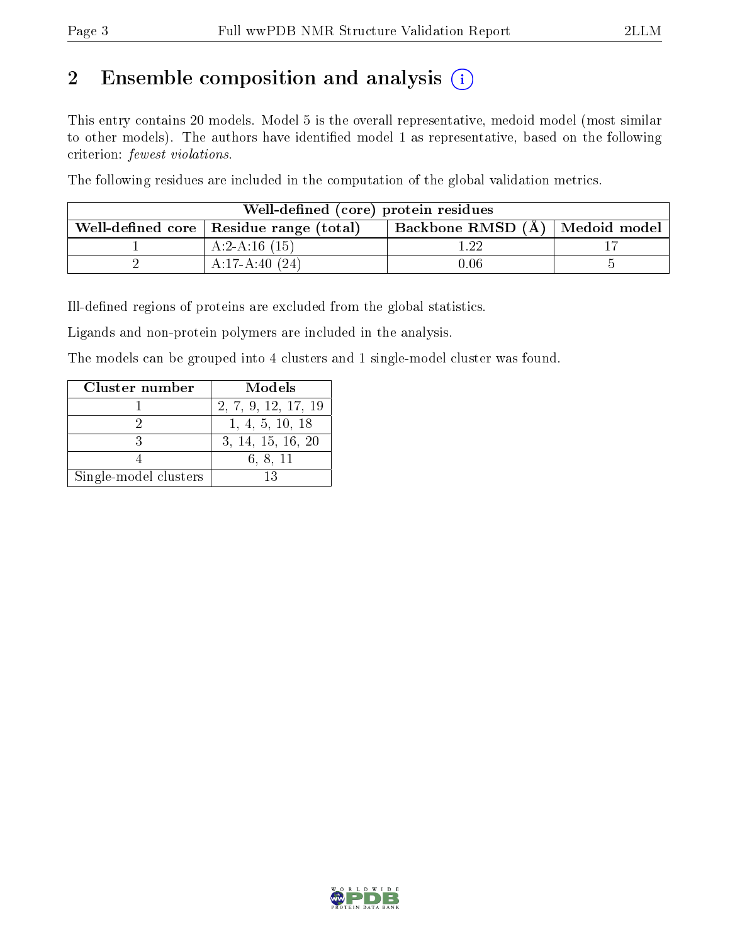# 2 Ensemble composition and analysis  $(i)$

This entry contains 20 models. Model 5 is the overall representative, medoid model (most similar to other models). The authors have identified model 1 as representative, based on the following criterion: fewest violations.

The following residues are included in the computation of the global validation metrics.

| Well-defined (core) protein residues                                            |                 |          |  |  |  |  |
|---------------------------------------------------------------------------------|-----------------|----------|--|--|--|--|
| Backbone RMSD (A)   Medoid model  <br>Well-defined core   Residue range (total) |                 |          |  |  |  |  |
|                                                                                 | $A:2-A:16(15)$  | ാറ       |  |  |  |  |
|                                                                                 | $A:17-A:40(24)$ | $0.06\,$ |  |  |  |  |

Ill-defined regions of proteins are excluded from the global statistics.

Ligands and non-protein polymers are included in the analysis.

The models can be grouped into 4 clusters and 1 single-model cluster was found.

| Cluster number        | Models              |
|-----------------------|---------------------|
|                       | 2, 7, 9, 12, 17, 19 |
|                       | 1, 4, 5, 10, 18     |
|                       | 3, 14, 15, 16, 20   |
|                       | 6, 8, 11            |
| Single-model clusters | 13                  |

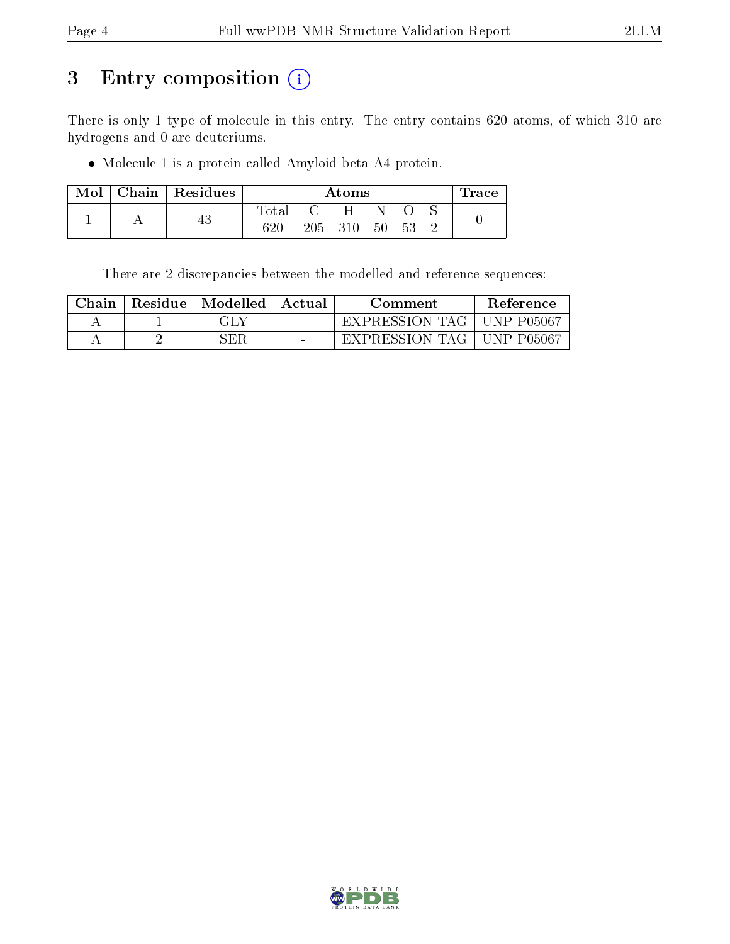# 3 Entry composition (i)

There is only 1 type of molecule in this entry. The entry contains 620 atoms, of which 310 are hydrogens and 0 are deuteriums.

Molecule 1 is a protein called Amyloid beta A4 protein.

| $\operatorname{Mol}$ $\vdash$ | Chain   Residues | $\rm{Atoms}$ |         |     |    |    | Trace |  |
|-------------------------------|------------------|--------------|---------|-----|----|----|-------|--|
|                               |                  | $\rm Total$  |         | H   |    |    |       |  |
|                               | Ψυ               | $620\,$      | $205\,$ | 310 | 50 | 53 |       |  |

There are 2 discrepancies between the modelled and reference sequences:

| Chain | Residue   Modelled | Actual | Comment        | <b>Reference</b>    |
|-------|--------------------|--------|----------------|---------------------|
|       | GLY                |        | EXPRESSION TAG | -P05067<br>- LINP + |
|       | 3ER                |        | EXPRESSION TAG | , UNP P05067        |

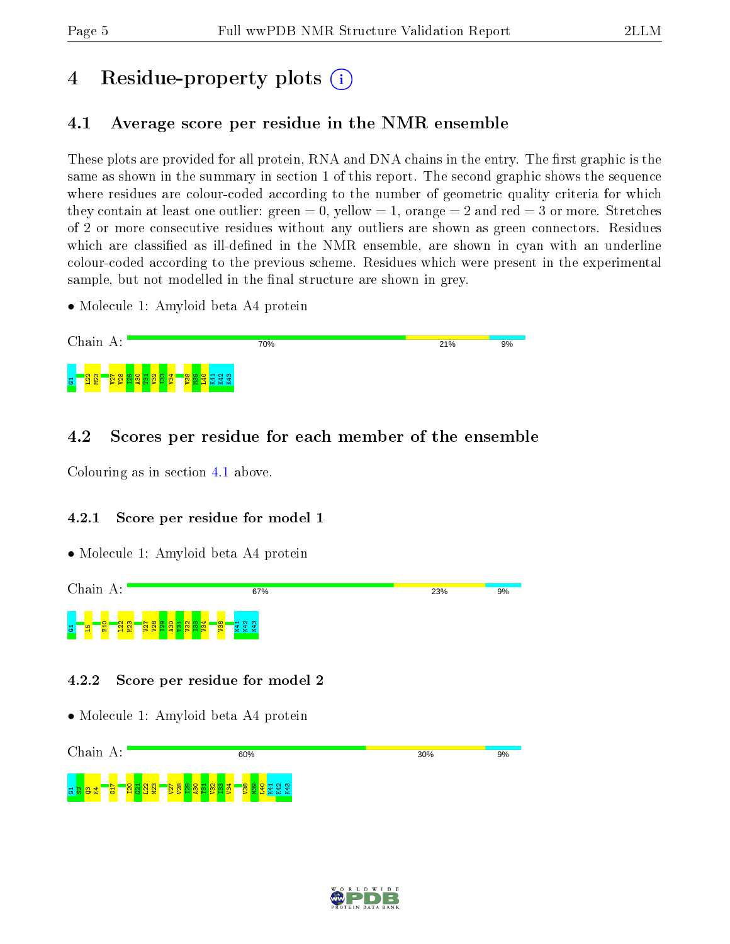# 4 Residue-property plots  $\binom{1}{1}$

## <span id="page-4-0"></span>4.1 Average score per residue in the NMR ensemble

These plots are provided for all protein, RNA and DNA chains in the entry. The first graphic is the same as shown in the summary in section 1 of this report. The second graphic shows the sequence where residues are colour-coded according to the number of geometric quality criteria for which they contain at least one outlier: green  $= 0$ , yellow  $= 1$ , orange  $= 2$  and red  $= 3$  or more. Stretches of 2 or more consecutive residues without any outliers are shown as green connectors. Residues which are classified as ill-defined in the NMR ensemble, are shown in cyan with an underline colour-coded according to the previous scheme. Residues which were present in the experimental sample, but not modelled in the final structure are shown in grey.

• Molecule 1: Amyloid beta A4 protein



## 4.2 Scores per residue for each member of the ensemble

Colouring as in section [4.1](#page-4-0) above.

### 4.2.1 Score per residue for model 1

• Molecule 1: Amyloid beta A4 protein



### 4.2.2 Score per residue for model 2



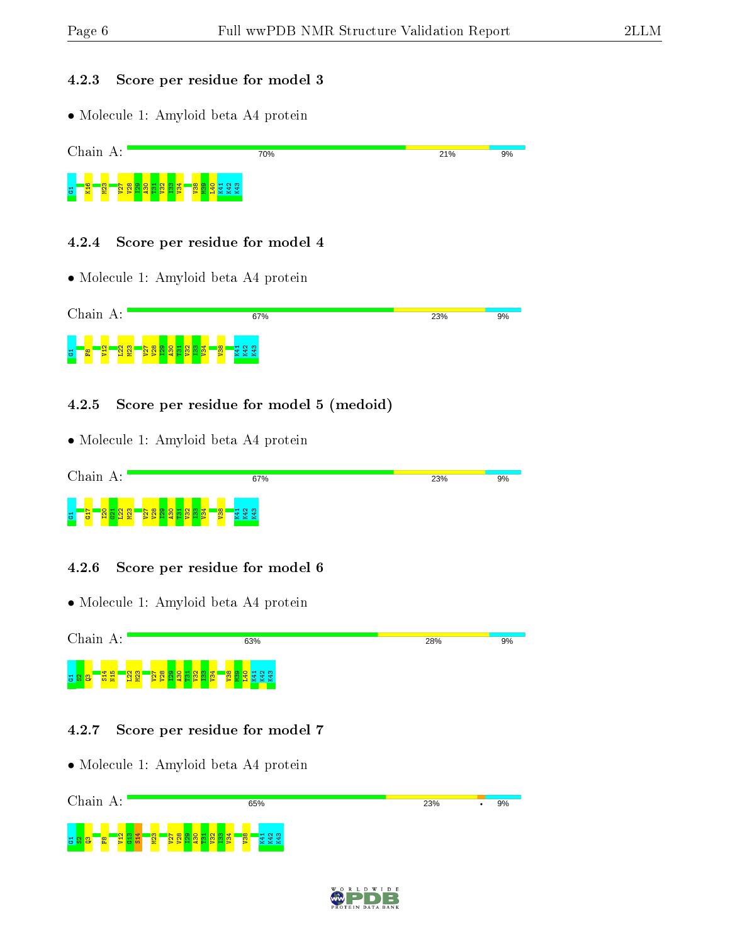#### 4.2.3 Score per residue for model 3

• Molecule 1: Amyloid beta A4 protein



#### 4.2.4 Score per residue for model 4

• Molecule 1: Amyloid beta A4 protein



#### 4.2.5 Score per residue for model 5 (medoid)

• Molecule 1: Amyloid beta A4 protein



#### 4.2.6 Score per residue for model 6

• Molecule 1: Amyloid beta A4 protein

Chain A: 63% 28%  $9%$ g <mark>g g g g g</mark>  $\frac{22}{2}$  $\frac{2}{2}$  $\overline{v}$  $\frac{8}{2}$  $\frac{1}{2}$  $\frac{8}{2}$  $\frac{1}{2}$  $\frac{2}{3}$  $\frac{3}{2}$  $\frac{1}{2}$  $\frac{8}{2}$  $\frac{3}{2}$  $\frac{1}{2}$ K41 K42 K43

#### 4.2.7 Score per residue for model 7



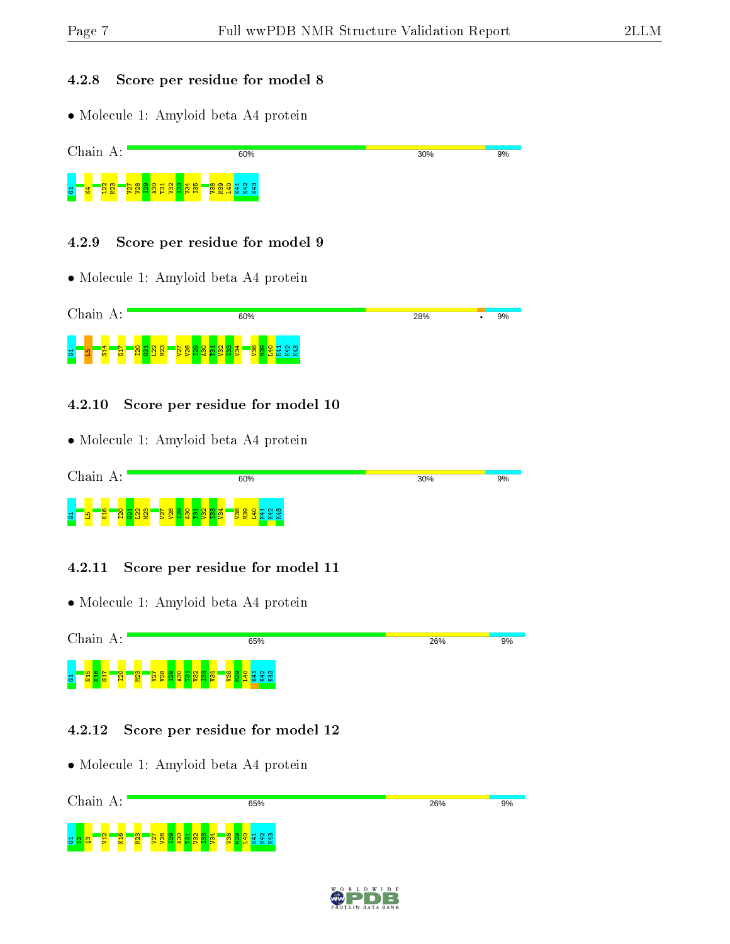#### 4.2.8 Score per residue for model 8

• Molecule 1: Amyloid beta A4 protein



#### 4.2.9 Score per residue for model 9

• Molecule 1: Amyloid beta A4 protein



#### 4.2.10 Score per residue for model 10

• Molecule 1: Amyloid beta A4 protein



#### 4.2.11 Score per residue for model 11

• Molecule 1: Amyloid beta A4 protein



#### 4.2.12 Score per residue for model 12



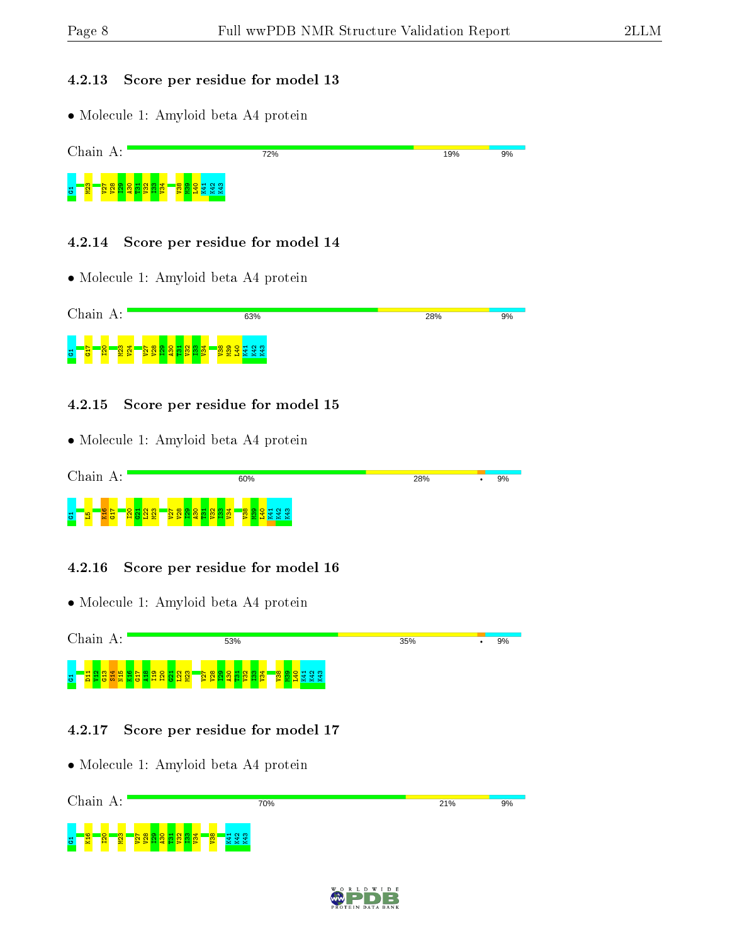#### 4.2.13 Score per residue for model 13

• Molecule 1: Amyloid beta A4 protein



#### 4.2.14 Score per residue for model 14

• Molecule 1: Amyloid beta A4 protein



#### 4.2.15 Score per residue for model 15

• Molecule 1: Amyloid beta A4 protein



#### 4.2.16 Score per residue for model 16

• Molecule 1: Amyloid beta A4 protein

Chain A: 53% 35%  $\frac{9\%}{ }$ g <mark>– 2</mark>998 v  $\frac{8}{2}$  $\frac{1}{2}$  $\frac{8}{4}$  $\frac{9}{11}$ I20  $\frac{1}{2}$  $\frac{22}{2}$  $\frac{2}{2}$ V27  $\frac{8}{2}$  $\frac{1}{2}$  $\frac{1}{2}$  $\frac{1}{2}$  $\frac{2}{3}$  $\frac{33}{2}$  $\frac{1}{2}$  $\frac{8}{2}$  $\frac{8}{2}$  $\frac{1}{2}$ K41 K42 K43

#### 4.2.17 Score per residue for model 17



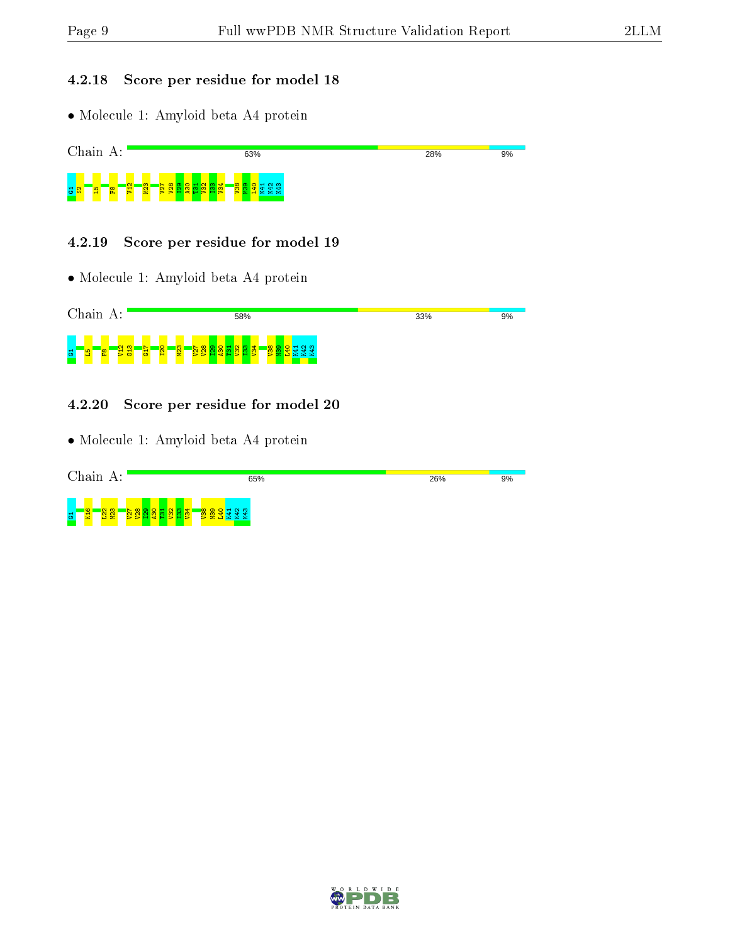#### 4.2.18 Score per residue for model 18

• Molecule 1: Amyloid beta A4 protein



#### 4.2.19 Score per residue for model 19

• Molecule 1: Amyloid beta A4 protein



#### 4.2.20 Score per residue for model 20

| Chain<br>А:                                                      | 65%    | 26% | 9% |
|------------------------------------------------------------------|--------|-----|----|
| ¢<br>$\frac{8}{3}$ និ<br><b>N</b><br>÷<br>5<br>Ŝ.<br>e<br>-<br>Σ | ÷<br>≃ |     |    |

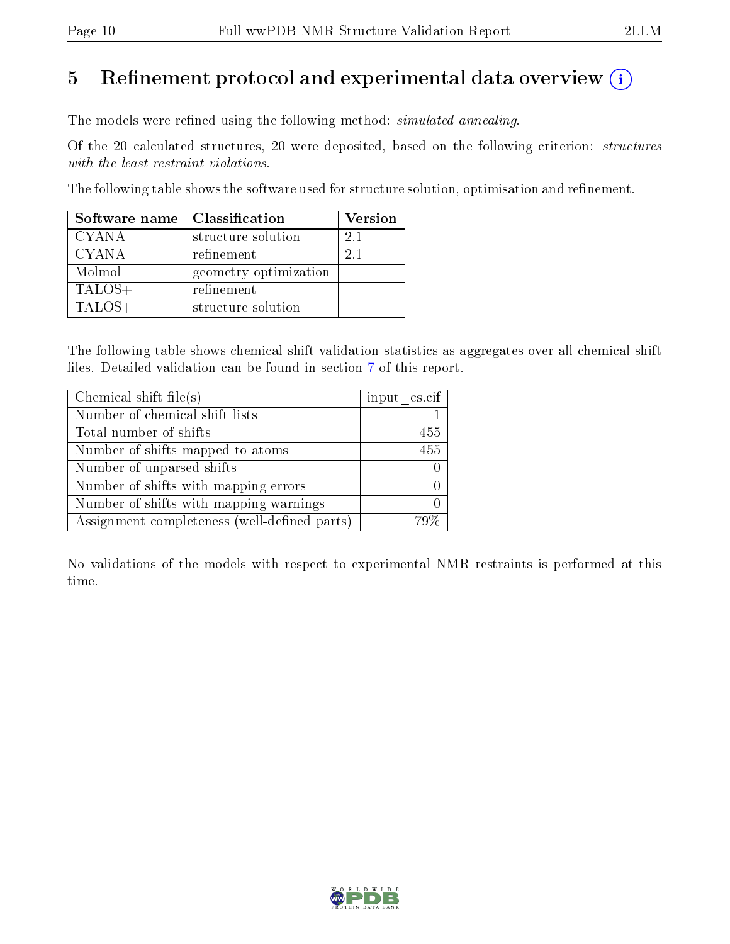# 5 Refinement protocol and experimental data overview  $\binom{1}{k}$

The models were refined using the following method: *simulated annealing*.

Of the 20 calculated structures, 20 were deposited, based on the following criterion: structures with the least restraint violations.

The following table shows the software used for structure solution, optimisation and refinement.

| Software name | Classification        | Version |
|---------------|-----------------------|---------|
| <b>CYANA</b>  | structure solution    | 21      |
| <b>CYANA</b>  | refinement            | 21      |
| Molmol        | geometry optimization |         |
| $TALOS+$      | refinement            |         |
| $TALOS+$      | structure solution    |         |

The following table shows chemical shift validation statistics as aggregates over all chemical shift files. Detailed validation can be found in section [7](#page-13-0) of this report.

| Chemical shift file(s)                       | input cs.cif |
|----------------------------------------------|--------------|
| Number of chemical shift lists               |              |
| Total number of shifts                       | 455          |
| Number of shifts mapped to atoms             | 455          |
| Number of unparsed shifts                    |              |
| Number of shifts with mapping errors         |              |
| Number of shifts with mapping warnings       |              |
| Assignment completeness (well-defined parts) |              |

No validations of the models with respect to experimental NMR restraints is performed at this time.

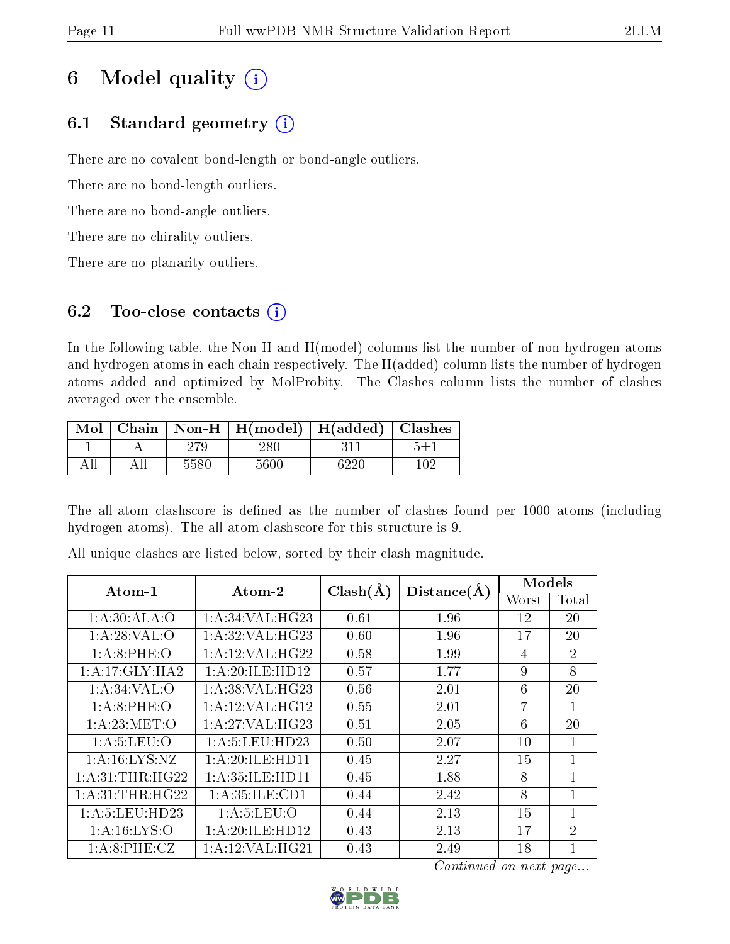# 6 Model quality  $(i)$

# 6.1 Standard geometry  $(i)$

There are no covalent bond-length or bond-angle outliers.

There are no bond-length outliers.

There are no bond-angle outliers.

There are no chirality outliers.

There are no planarity outliers.

# 6.2 Too-close contacts  $(i)$

In the following table, the Non-H and H(model) columns list the number of non-hydrogen atoms and hydrogen atoms in each chain respectively. The H(added) column lists the number of hydrogen atoms added and optimized by MolProbity. The Clashes column lists the number of clashes averaged over the ensemble.

|  |      | Mol   Chain   Non-H   H(model)   H(added)   Clashes |      |     |
|--|------|-----------------------------------------------------|------|-----|
|  | 279. | 280                                                 |      |     |
|  | 5580 | 5600                                                | 6220 | 102 |

The all-atom clashscore is defined as the number of clashes found per 1000 atoms (including hydrogen atoms). The all-atom clashscore for this structure is 9.

| Atom-1             | $\boldsymbol{\mathrm{Atom}\text{-}2}$ | $Clash(\AA)$ | Distance(A) | Models |                |
|--------------------|---------------------------------------|--------------|-------------|--------|----------------|
|                    |                                       |              |             | Worst  | Total          |
| 1:A:30:ALA:O       | 1: A:34: VAL:HG23                     | 0.61         | 1.96        | 12     | 20             |
| 1: A:28:VAL:O      | 1: A:32: VAL:HG23                     | 0.60         | 1.96        | 17     | 20             |
| 1: A:8: PHE:O      | 1:A:12:VAL:HG22                       | 0.58         | 1.99        | 4      | $\overline{2}$ |
| 1:A:17:GLY:HA2     | 1: A:20: ILE: HD12                    | 0.57         | 1.77        | 9      | 8              |
| 1: A:34:VAL:O      | 1: A:38: VAL:HG23                     | 0.56         | 2.01        | 6      | 20             |
| 1: A:8: PHE:O      | 1: A:12: VAL: HG12                    | 0.55         | 2.01        | 7      | $\mathbf{1}$   |
| 1: A:23:MET:O      | 1:A:27:VAL:HG23                       | 0.51         | 2.05        | 6      | 20             |
| 1: A: 5: LEU: O    | 1: A: 5: LEU: HD23                    | 0.50         | 2.07        | 10     | 1              |
| 1: A: 16: LYS: NZ  | 1: A:20: ILE: HDI1                    | 0.45         | 2.27        | 15     | 1              |
| 1: A:31:THR:HG22   | 1: A:35: ILE: HDI1                    | 0.45         | 1.88        | 8      | $\mathbf{1}$   |
| 1: A:31:THR:HG22   | 1: A:35: ILE: CD1                     | 0.44         | 2.42        | 8      | 1              |
| 1: A: 5: LEU: HD23 | 1: A: 5: LEU: O                       | 0.44         | 2.13        | 15     | 1              |
| 1: A: 16: LYS: O   | 1: A:20: ILE: HD12                    | 0.43         | 2.13        | 17     | $\overline{2}$ |
| 1: A:8:PHE: CZ     | 1: A:12: VAL:HG21                     | 0.43         | 2.49        | 18     | 1              |

All unique clashes are listed below, sorted by their clash magnitude.

Continued on next page...

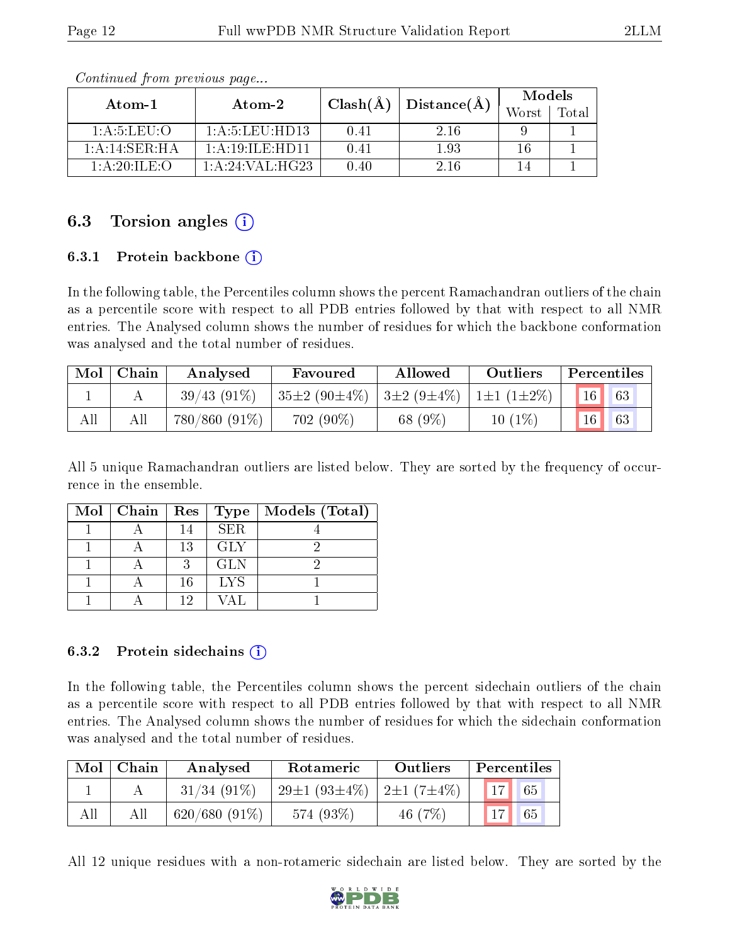| Atom-1                               | Atom-2                    | $Clash(\AA)$ | Distance(A) | Models |       |
|--------------------------------------|---------------------------|--------------|-------------|--------|-------|
|                                      |                           |              |             | Worst  | Total |
| 1: A: 5: LELI: O                     | $1: A: 5: L \to H \to 13$ | 0.41         | 2.16        |        |       |
| $1:A:14:SER:H\overline{A}$           | 1: A:19: ILE:HD11         | 0.41         | 1.93        | 16     |       |
| $1:$ A $:$ 20 $\cdot$ II F $\cdot$ C | 1:A:24:VAL:HG23           | 0.40         | 2.16        |        |       |

Continued from previous page...

## 6.3 Torsion angles  $(i)$

#### 6.3.1 Protein backbone (i)

In the following table, the Percentiles column shows the percent Ramachandran outliers of the chain as a percentile score with respect to all PDB entries followed by that with respect to all NMR entries. The Analysed column shows the number of residues for which the backbone conformation was analysed and the total number of residues.

| Mol | Chain | Analysed        | Favoured           | Allowed           | <b>Outliers</b>         |    | Percentiles |
|-----|-------|-----------------|--------------------|-------------------|-------------------------|----|-------------|
|     |       | $39/43(91\%)$   | $35\pm2(90\pm4\%)$ | $13\pm2(9\pm4\%)$ | $1 \pm 1$ $(1 \pm 2\%)$ |    | 63          |
| All |       | $780/860(91\%)$ | $702(90\%)$        | 68 (9%)           | $10(1\%)$               | 16 | 63          |

All 5 unique Ramachandran outliers are listed below. They are sorted by the frequency of occurrence in the ensemble.

| Mol   Chain   Res |    | Type       | Models (Total) |
|-------------------|----|------------|----------------|
|                   | 14 | <b>SER</b> |                |
|                   | 13 | GLY        |                |
|                   |    | <b>GLN</b> |                |
|                   | 16 | <b>LYS</b> |                |
|                   | 19 |            |                |

#### 6.3.2 Protein sidechains  $\hat{1}$

In the following table, the Percentiles column shows the percent sidechain outliers of the chain as a percentile score with respect to all PDB entries followed by that with respect to all NMR entries. The Analysed column shows the number of residues for which the sidechain conformation was analysed and the total number of residues.

| Mol | Chain | Analysed        | Rotameric          | <b>Outliers</b>  | Percentiles            |
|-----|-------|-----------------|--------------------|------------------|------------------------|
|     |       | $31/34(91\%)$   | $29\pm1(93\pm4\%)$ | $2\pm1(7\pm4\%)$ | $\vert 17 \vert$<br>65 |
| All | All   | $620/680(91\%)$ | 574 (93\%)         | 46 $(7%)$        | 65                     |

All 12 unique residues with a non-rotameric sidechain are listed below. They are sorted by the

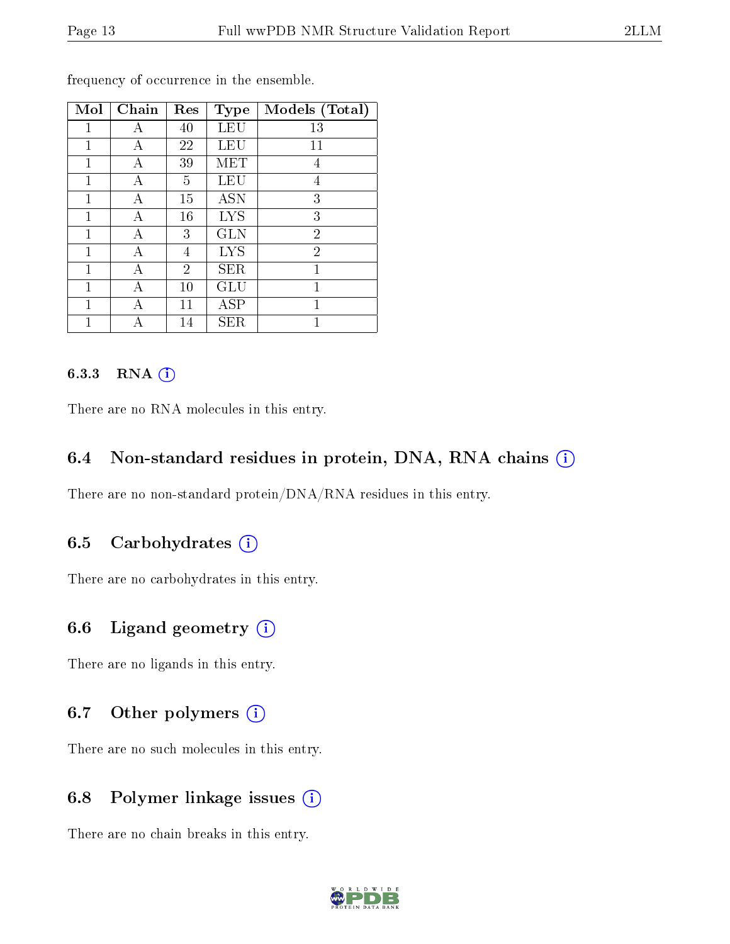| Mol          | Chain | Res            | <b>Type</b>  | Models (Total) |
|--------------|-------|----------------|--------------|----------------|
| 1            | А     | 40             | LEU          | 13             |
| 1            | А     | 22             | LEU          | 11             |
| 1            | А     | 39             | MET          | 4              |
| 1            | А     | 5              | LEU          | 4              |
| $\mathbf{1}$ | А     | 15             | <b>ASN</b>   | 3              |
| 1            | А     | 16             | <b>LYS</b>   | 3              |
| 1            | А     | 3              | <b>GLN</b>   | $\overline{2}$ |
| 1            | А     | 4              | <b>LYS</b>   | $\overline{2}$ |
| 1            | А     | $\overline{2}$ | <b>SER</b>   | 1              |
| 1            | А     | 10             | GLU          | 1              |
| 1            | А     | 11             | $_{\rm ASP}$ | 1              |
| 1            |       | 14             | ${\rm SER}$  | 1              |

frequency of occurrence in the ensemble.

#### 6.3.3 RNA (i)

There are no RNA molecules in this entry.

### 6.4 Non-standard residues in protein, DNA, RNA chains  $(i)$

There are no non-standard protein/DNA/RNA residues in this entry.

### 6.5 Carbohydrates  $(i)$

There are no carbohydrates in this entry.

### 6.6 Ligand geometry  $(i)$

There are no ligands in this entry.

## 6.7 [O](https://www.wwpdb.org/validation/2017/NMRValidationReportHelp#nonstandard_residues_and_ligands)ther polymers  $(i)$

There are no such molecules in this entry.

## 6.8 Polymer linkage issues (i)

There are no chain breaks in this entry.

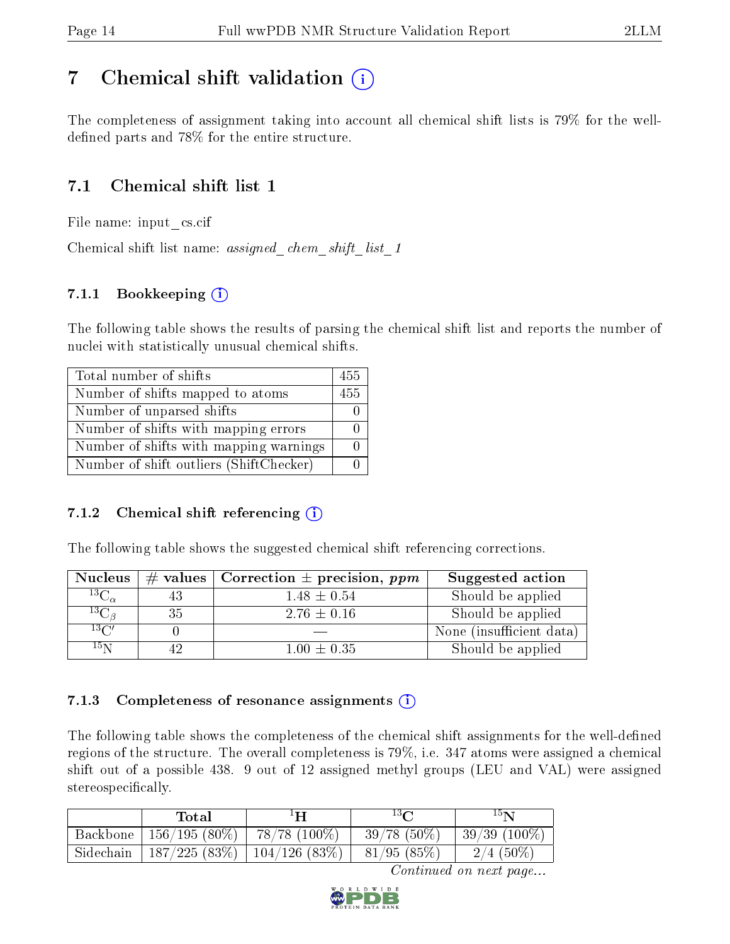# <span id="page-13-0"></span>7 Chemical shift validation  $\left( \begin{array}{c} \overline{1} \end{array} \right)$

The completeness of assignment taking into account all chemical shift lists is 79% for the welldefined parts and 78% for the entire structure.

## 7.1 Chemical shift list 1

File name: input\_cs.cif

Chemical shift list name: *assigned\_chem\_shift\_list\_1* 

## 7.1.1 Bookkeeping (i)

The following table shows the results of parsing the chemical shift list and reports the number of nuclei with statistically unusual chemical shifts.

| Total number of shifts                  | 455 |
|-----------------------------------------|-----|
| Number of shifts mapped to atoms        | 455 |
| Number of unparsed shifts               |     |
| Number of shifts with mapping errors    |     |
| Number of shifts with mapping warnings  |     |
| Number of shift outliers (ShiftChecker) |     |

### 7.1.2 Chemical shift referencing  $(i)$

The following table shows the suggested chemical shift referencing corrections.

| <b>Nucleus</b>      |    | $\#$ values   Correction $\pm$ precision, ppm | Suggested action         |
|---------------------|----|-----------------------------------------------|--------------------------|
| ${}^{13}C_{\alpha}$ | 43 | $1.48 \pm 0.54$                               | Should be applied        |
| ${}^{13}C_{\beta}$  | 35 | $2.76 \pm 0.16$                               | Should be applied        |
| $13\text{C}$        |    |                                               | None (insufficient data) |
| $15\,\mathrm{N}$    |    | $1.00 \pm 0.35$                               | Should be applied        |

### 7.1.3 Completeness of resonance assignments  $(i)$

The following table shows the completeness of the chemical shift assignments for the well-defined regions of the structure. The overall completeness is 79%, i.e. 347 atoms were assigned a chemical shift out of a possible 438. 9 out of 12 assigned methyl groups (LEU and VAL) were assigned stereospecifically.

|           | Total                                   | $^1$ H             | $13\Omega$    | 15 <sub>N</sub> |
|-----------|-----------------------------------------|--------------------|---------------|-----------------|
| Backbone  | $^+$ 156/195 (80%) $\parallel$          | $-78/78$ $(100\%)$ | $39/78(50\%)$ | $39/39(100\%)$  |
| Sidechain | $187/225$ $(83\%)$   $104/126$ $(83\%)$ |                    | 81/95(85%)    | $2/4$ (50%)     |

Continued on next page...